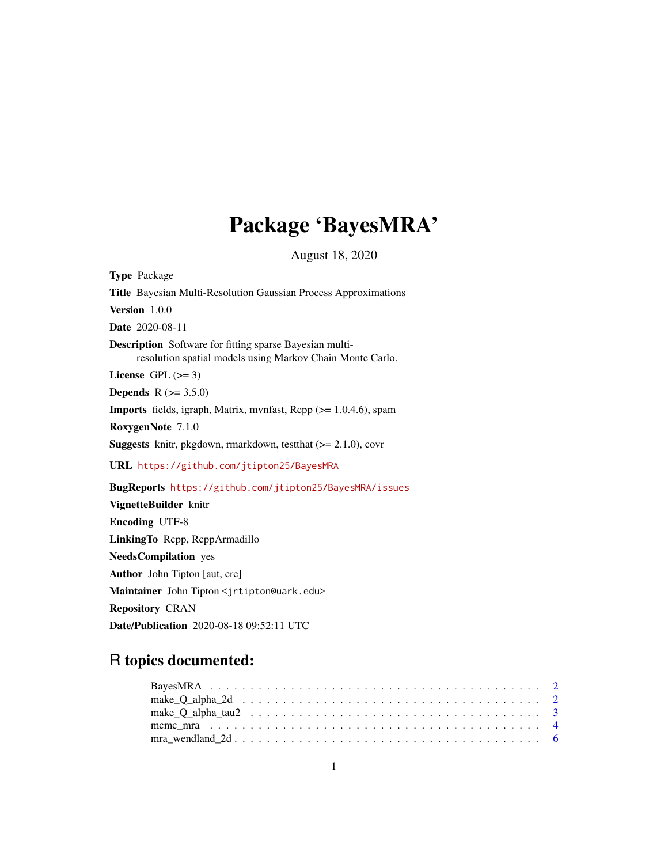# Package 'BayesMRA'

August 18, 2020

Type Package Title Bayesian Multi-Resolution Gaussian Process Approximations Version 1.0.0 Date 2020-08-11 Description Software for fitting sparse Bayesian multiresolution spatial models using Markov Chain Monte Carlo. License GPL  $(>= 3)$ **Depends** R  $(>= 3.5.0)$ Imports fields, igraph, Matrix, mvnfast, Rcpp (>= 1.0.4.6), spam RoxygenNote 7.1.0 Suggests knitr, pkgdown, rmarkdown, testthat (>= 2.1.0), covr URL <https://github.com/jtipton25/BayesMRA> BugReports <https://github.com/jtipton25/BayesMRA/issues> VignetteBuilder knitr Encoding UTF-8 LinkingTo Rcpp, RcppArmadillo NeedsCompilation yes Author John Tipton [aut, cre] Maintainer John Tipton <jrtipton@uark.edu>

Repository CRAN

Date/Publication 2020-08-18 09:52:11 UTC

# R topics documented: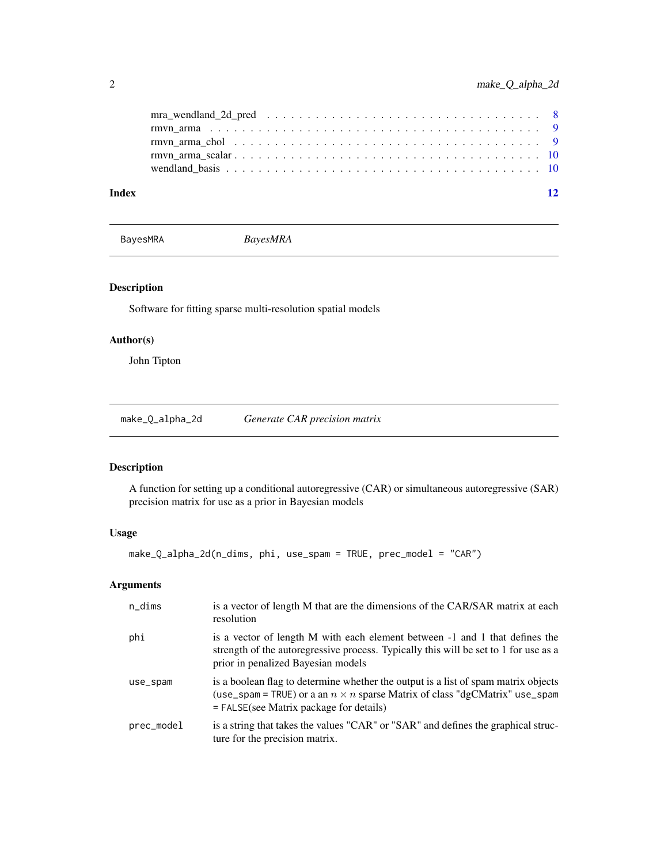<span id="page-1-0"></span>

| Index | 12 |
|-------|----|
|       |    |
|       |    |
|       |    |
|       |    |
|       |    |

BayesMRA *BayesMRA*

# Description

Software for fitting sparse multi-resolution spatial models

# Author(s)

John Tipton

make\_Q\_alpha\_2d *Generate CAR precision matrix*

# Description

A function for setting up a conditional autoregressive (CAR) or simultaneous autoregressive (SAR) precision matrix for use as a prior in Bayesian models

#### Usage

```
make_Q_alpha_2d(n_dims, phi, use_spam = TRUE, prec_model = "CAR")
```
# Arguments

| n_dims     | is a vector of length M that are the dimensions of the CAR/SAR matrix at each<br>resolution                                                                                                                           |
|------------|-----------------------------------------------------------------------------------------------------------------------------------------------------------------------------------------------------------------------|
| phi        | is a vector of length M with each element between -1 and 1 that defines the<br>strength of the autoregressive process. Typically this will be set to 1 for use as a<br>prior in penalized Bayesian models             |
| use_spam   | is a boolean flag to determine whether the output is a list of spam matrix objects<br>(use_spam = TRUE) or a an $n \times n$ sparse Matrix of class "dgCMatrix" use_spam<br>$=$ FALSE(see Matrix package for details) |
| prec_model | is a string that takes the values "CAR" or "SAR" and defines the graphical struc-<br>ture for the precision matrix.                                                                                                   |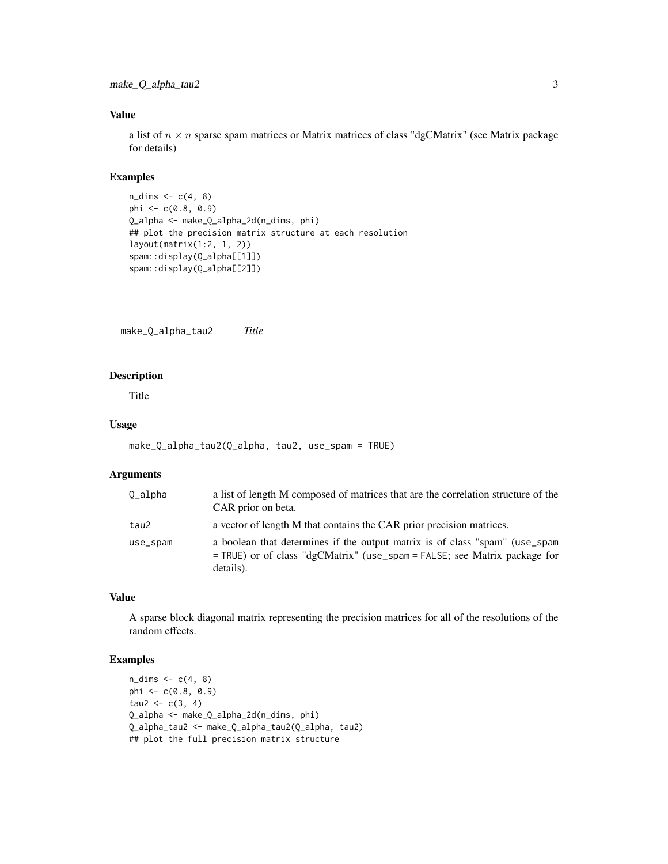#### <span id="page-2-0"></span>Value

a list of  $n \times n$  sparse spam matrices or Matrix matrices of class "dgCMatrix" (see Matrix package for details)

#### Examples

```
n\_dims \leftarrow c(4, 8)phi <- c(0.8, 0.9)
Q_alpha <- make_Q_alpha_2d(n_dims, phi)
## plot the precision matrix structure at each resolution
layout(matrix(1:2, 1, 2))
spam::display(Q_alpha[[1]])
spam::display(Q_alpha[[2]])
```
make\_Q\_alpha\_tau2 *Title*

#### Description

Title

# Usage

```
make_Q_alpha_tau2(Q_alpha, tau2, use_spam = TRUE)
```
### Arguments

| 0_alpha  | a list of length M composed of matrices that are the correlation structure of the<br>CAR prior on beta.                                                                 |
|----------|-------------------------------------------------------------------------------------------------------------------------------------------------------------------------|
| tau2     | a vector of length M that contains the CAR prior precision matrices.                                                                                                    |
| use_spam | a boolean that determines if the output matrix is of class "spam" (use_spam<br>$=$ TRUE) or of class "dgCMatrix" (use_spam = FALSE; see Matrix package for<br>details). |

### Value

A sparse block diagonal matrix representing the precision matrices for all of the resolutions of the random effects.

```
n\_dims \leftarrow c(4, 8)phi \leq -c(0.8, 0.9)tau2 < -c(3, 4)Q_alpha <- make_Q_alpha_2d(n_dims, phi)
Q_alpha_tau2 <- make_Q_alpha_tau2(Q_alpha, tau2)
## plot the full precision matrix structure
```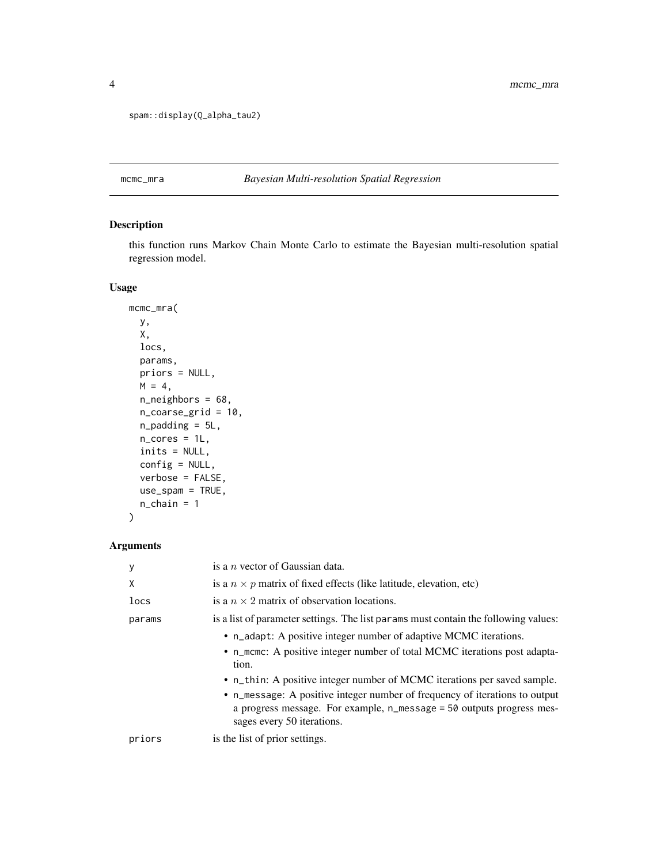```
spam::display(Q_alpha_tau2)
```
# mcmc\_mra *Bayesian Multi-resolution Spatial Regression*

# Description

this function runs Markov Chain Monte Carlo to estimate the Bayesian multi-resolution spatial regression model.

# Usage

```
mcmc_mra(
 y,
 X,
 locs,
 params,
 priors = NULL,
 M = 4,
 n_neighbors = 68,
  n_coarse_grid = 10,
 n_padding = 5L,
 n\_cores = 1L,inits = NULL,
 config = NULL,
  verbose = FALSE,
 use_spam = TRUE,
  n_{\text{chain}} = 1)
```
# Arguments

| у      | is a $n$ vector of Gaussian data.                                                                                                                                                                                                                              |
|--------|----------------------------------------------------------------------------------------------------------------------------------------------------------------------------------------------------------------------------------------------------------------|
| X      | is a $n \times p$ matrix of fixed effects (like latitude, elevation, etc)                                                                                                                                                                                      |
| locs   | is a $n \times 2$ matrix of observation locations.                                                                                                                                                                                                             |
| params | is a list of parameter settings. The list params must contain the following values:                                                                                                                                                                            |
|        | • n_adapt: A positive integer number of adaptive MCMC iterations.<br>• n_mcmc: A positive integer number of total MCMC iterations post adapta-<br>tion.                                                                                                        |
|        | • n_thin: A positive integer number of MCMC iterations per saved sample.<br>• n_message: A positive integer number of frequency of iterations to output<br>a progress message. For example, n_message = 50 outputs progress mes-<br>sages every 50 iterations. |
| priors | is the list of prior settings.                                                                                                                                                                                                                                 |

<span id="page-3-0"></span>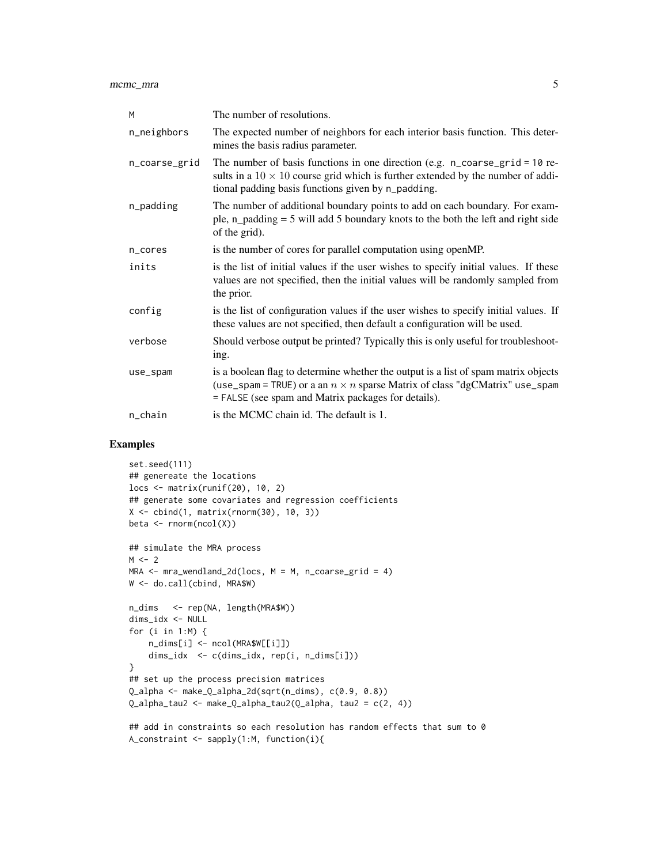mcmc\_mra 5

| M             | The number of resolutions.                                                                                                                                                                                                               |
|---------------|------------------------------------------------------------------------------------------------------------------------------------------------------------------------------------------------------------------------------------------|
| n_neighbors   | The expected number of neighbors for each interior basis function. This deter-<br>mines the basis radius parameter.                                                                                                                      |
| n_coarse_grid | The number of basis functions in one direction (e.g. $n_{\text{1}}$ coarse_grid = 10 re-<br>sults in a $10 \times 10$ course grid which is further extended by the number of addi-<br>tional padding basis functions given by n_padding. |
| n_padding     | The number of additional boundary points to add on each boundary. For exam-<br>ple, $n$ -padding = 5 will add 5 boundary knots to the both the left and right side<br>of the grid).                                                      |
| n_cores       | is the number of cores for parallel computation using openMP.                                                                                                                                                                            |
| inits         | is the list of initial values if the user wishes to specify initial values. If these<br>values are not specified, then the initial values will be randomly sampled from<br>the prior.                                                    |
| config        | is the list of configuration values if the user wishes to specify initial values. If<br>these values are not specified, then default a configuration will be used.                                                                       |
| verbose       | Should verbose output be printed? Typically this is only useful for troubleshoot-<br>ing.                                                                                                                                                |
| use_spam      | is a boolean flag to determine whether the output is a list of spam matrix objects<br>(use_spam = TRUE) or a an $n \times n$ sparse Matrix of class "dgCMatrix" use_spam<br>= FALSE (see spam and Matrix packages for details).          |
| n_chain       | is the MCMC chain id. The default is 1.                                                                                                                                                                                                  |

```
set.seed(111)
## genereate the locations
locs <- matrix(runif(20), 10, 2)
## generate some covariates and regression coefficients
X \leftarrow \text{cbind}(1, \text{matrix}(rnorm(30), 10, 3))beta <- rnorm(ncol(X))
## simulate the MRA process
M < - 2MRA \leq mra_wendland_2d(loc, M = M, n\_coarse_grid = 4)W <- do.call(cbind, MRA$W)
n_dims <- rep(NA, length(MRA$W))
dims_idx <- NULL
for (i in 1:M) {
    n_dims[i] <- ncol(MRA$W[[i]])
    dims_idx <- c(dims_idx, rep(i, n_dims[i]))
}
## set up the process precision matrices
Q_alpha <- make_Q_alpha_2d(sqrt(n_dims), c(0.9, 0.8))
Q_{\text{alpha}\text{-}tau2 \leftarrow \text{make}_\text{alpha}\text{-}tau2(Q_{\text{alpha}\text{-}}tau, \text{tau2} = c(2, 4))## add in constraints so each resolution has random effects that sum to 0
```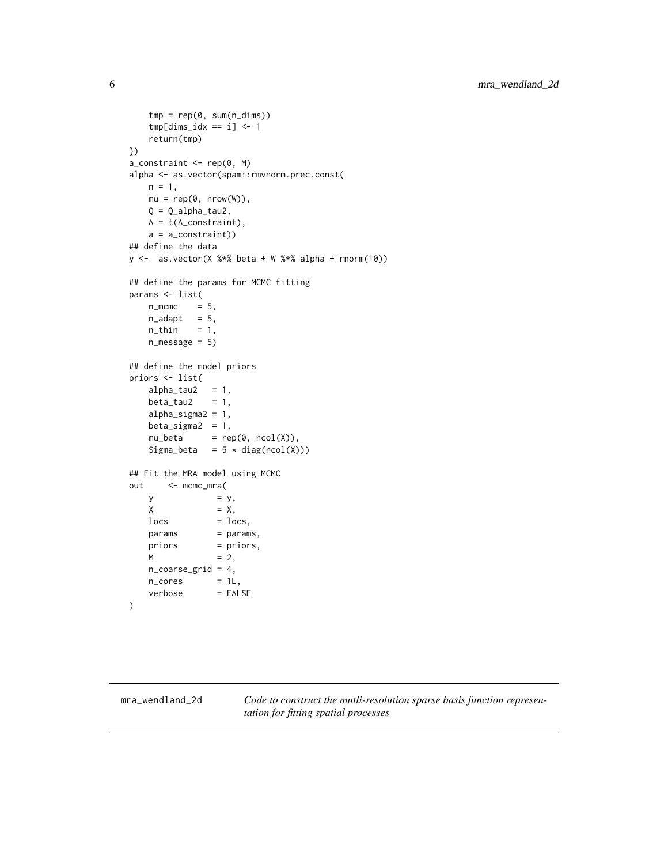```
tmp = rep(0, sum(n\_dims))tmp[dims\_idx == i] < -1return(tmp)
})
a_{\text{1}}constraint <- rep(0, M)
alpha <- as.vector(spam::rmvnorm.prec.const(
   n = 1,
   mu = rep(0, nrow(W)),Q = Q_alpha1pha_tau2,
   A = t(A_{constant}),a = a_constraint))
## define the data
y \le - as.vector(X %*% beta + W %*% alpha + rnorm(10))
## define the params for MCMC fitting
params <- list(
   n\_mcmc = 5,
   n\_adapt = 5,
   n_{th} = 1,
   n_message = 5)
## define the model priors
priors <- list(
   alpha_talpha_tau2 = 1,
   beta\_tau2 = 1,
   alpha_sigma2 = 1,
   beta<sub>sigma2</sub> = 1,
   mu_beta = rep(0, ncol(X)),Sigma_beta = 5 * diag(ncol(X)))## Fit the MRA model using MCMC
out <- mcmc_mra(
   y = y,
   X = X,
   \log = \log,
   params = params,priors = priors,M = 2,
   n_coarse_grid = 4,
    n\_cores = 1L,
    verbose = FALSE
```

```
)
```
mra\_wendland\_2d *Code to construct the mutli-resolution sparse basis function representation for fitting spatial processes*

<span id="page-5-0"></span>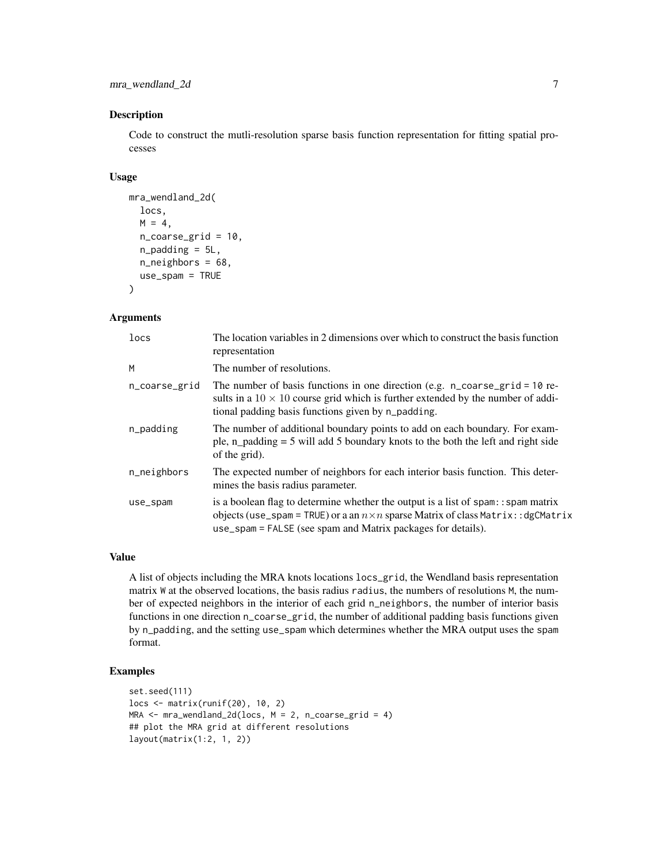mra\_wendland\_2d 7

#### Description

Code to construct the mutli-resolution sparse basis function representation for fitting spatial processes

#### Usage

```
mra_wendland_2d(
  locs,
 M = 4,
  n_coarse_grid = 10,
  n_padding = 5L,
  n_neighbors = 68,
  use_spam = TRUE
)
```
# Arguments

| locs          | The location variables in 2 dimensions over which to construct the basis function<br>representation                                                                                                                                             |
|---------------|-------------------------------------------------------------------------------------------------------------------------------------------------------------------------------------------------------------------------------------------------|
| M             | The number of resolutions.                                                                                                                                                                                                                      |
| n_coarse_grid | The number of basis functions in one direction (e.g. $n$ coarse grid = 10 re-<br>sults in a $10 \times 10$ course grid which is further extended by the number of addi-<br>tional padding basis functions given by n_padding.                   |
| n_padding     | The number of additional boundary points to add on each boundary. For exam-<br>ple, n_padding $=$ 5 will add 5 boundary knots to the both the left and right side<br>of the grid).                                                              |
| n_neighbors   | The expected number of neighbors for each interior basis function. This deter-<br>mines the basis radius parameter.                                                                                                                             |
| use_spam      | is a boolean flag to determine whether the output is a list of spam: : spam matrix<br>objects (use_spam = TRUE) or a an $n \times n$ sparse Matrix of class Matrix: : dgCMatrix<br>use_spam = FALSE (see spam and Matrix packages for details). |

### Value

A list of objects including the MRA knots locations locs\_grid, the Wendland basis representation matrix W at the observed locations, the basis radius radius, the numbers of resolutions M, the number of expected neighbors in the interior of each grid n\_neighbors, the number of interior basis functions in one direction n\_coarse\_grid, the number of additional padding basis functions given by n\_padding, and the setting use\_spam which determines whether the MRA output uses the spam format.

```
set.seed(111)
locs <- matrix(runif(20), 10, 2)
MRA \leq mra_wendland_2d(locs, M = 2, n_coarse_grid = 4)
## plot the MRA grid at different resolutions
layout(matrix(1:2, 1, 2))
```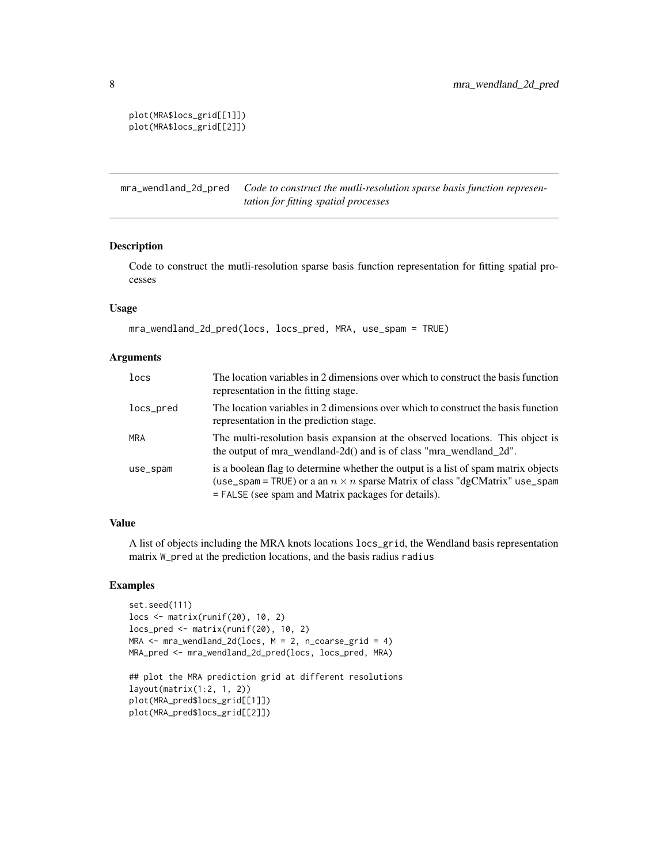```
plot(MRA$locs_grid[[1]])
plot(MRA$locs_grid[[2]])
```
mra\_wendland\_2d\_pred *Code to construct the mutli-resolution sparse basis function representation for fitting spatial processes*

# Description

Code to construct the mutli-resolution sparse basis function representation for fitting spatial processes

#### Usage

```
mra_wendland_2d_pred(locs, locs_pred, MRA, use_spam = TRUE)
```
#### Arguments

| locs       | The location variables in 2 dimensions over which to construct the basis function<br>representation in the fitting stage.                                                                                                       |  |
|------------|---------------------------------------------------------------------------------------------------------------------------------------------------------------------------------------------------------------------------------|--|
| locs_pred  | The location variables in 2 dimensions over which to construct the basis function<br>representation in the prediction stage.                                                                                                    |  |
| <b>MRA</b> | The multi-resolution basis expansion at the observed locations. This object is<br>the output of mra_wendland-2d() and is of class "mra_wendland_2d".                                                                            |  |
| use_spam   | is a boolean flag to determine whether the output is a list of spam matrix objects<br>(use_spam = TRUE) or a an $n \times n$ sparse Matrix of class "dgCMatrix" use_spam<br>= FALSE (see spam and Matrix packages for details). |  |

#### Value

A list of objects including the MRA knots locations locs\_grid, the Wendland basis representation matrix W\_pred at the prediction locations, and the basis radius radius

```
set.seed(111)
locs <- matrix(runif(20), 10, 2)
locs_pred <- matrix(runif(20), 10, 2)
MRA \leq mra_wendland_2d(locs, M = 2, n_coarse_grid = 4)
MRA_pred <- mra_wendland_2d_pred(locs, locs_pred, MRA)
```

```
## plot the MRA prediction grid at different resolutions
layout(matrix(1:2, 1, 2))
plot(MRA_pred$locs_grid[[1]])
plot(MRA_pred$locs_grid[[2]])
```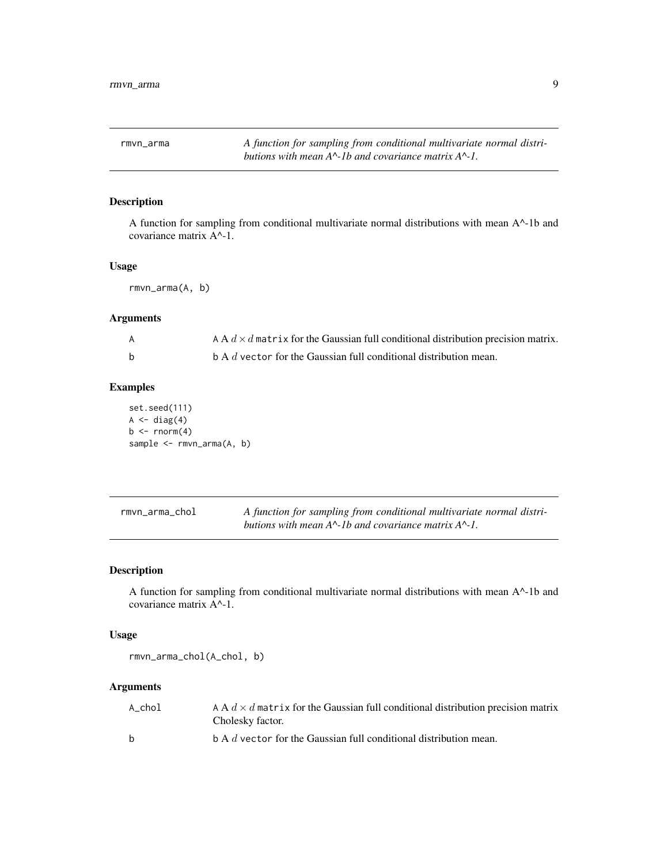<span id="page-8-0"></span>rmvn\_arma *A function for sampling from conditional multivariate normal distributions with mean A^-1b and covariance matrix A^-1.*

# Description

A function for sampling from conditional multivariate normal distributions with mean A^-1b and covariance matrix A^-1.

#### Usage

rmvn\_arma(A, b)

# Arguments

|   | A A $d \times d$ matrix for the Gaussian full conditional distribution precision matrix. |
|---|------------------------------------------------------------------------------------------|
| b | $\Delta$ b A d vector for the Gaussian full conditional distribution mean.               |

# Examples

set.seed(111)  $A \leftarrow diag(4)$  $b \leq -rnorm(4)$ sample <- rmvn\_arma(A, b)

| rmvn arma chol | A function for sampling from conditional multivariate normal distri-      |
|----------------|---------------------------------------------------------------------------|
|                | butions with mean $A^{\wedge}$ -1b and covariance matrix $A^{\wedge}$ -1. |

# Description

A function for sampling from conditional multivariate normal distributions with mean A^-1b and covariance matrix A^-1.

#### Usage

rmvn\_arma\_chol(A\_chol, b)

#### Arguments

| A chol       | A A $d \times d$ matrix for the Gaussian full conditional distribution precision matrix<br>Cholesky factor. |
|--------------|-------------------------------------------------------------------------------------------------------------|
| <sub>b</sub> | $\mathbf b$ A d vector for the Gaussian full conditional distribution mean.                                 |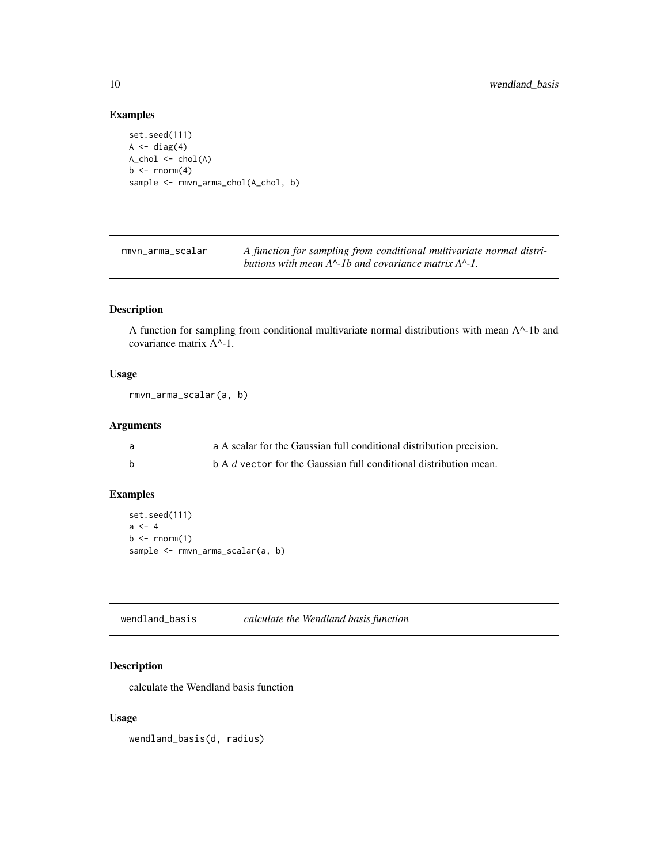#### Examples

```
set.seed(111)
A \leftarrow diag(4)A_chol <- chol(A)
b \leq -rnorm(4)sample <- rmvn_arma_chol(A_chol, b)
```
rmvn\_arma\_scalar *A function for sampling from conditional multivariate normal distributions with mean A^-1b and covariance matrix A^-1.*

# Description

A function for sampling from conditional multivariate normal distributions with mean A^-1b and covariance matrix A^-1.

#### Usage

```
rmvn_arma_scalar(a, b)
```
# Arguments

| a | a A scalar for the Gaussian full conditional distribution precision.        |
|---|-----------------------------------------------------------------------------|
|   | $\mathbf b$ A d vector for the Gaussian full conditional distribution mean. |

# Examples

```
set.seed(111)
a \leq -4b \leq -rnorm(1)sample <- rmvn_arma_scalar(a, b)
```
wendland\_basis *calculate the Wendland basis function*

# Description

calculate the Wendland basis function

# Usage

wendland\_basis(d, radius)

<span id="page-9-0"></span>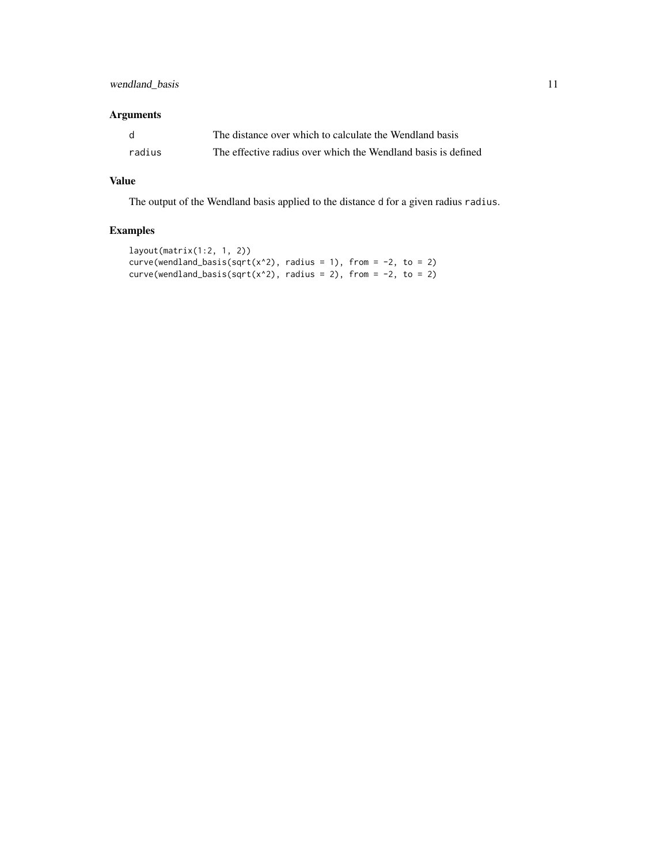# wendland\_basis 11

# Arguments

|        | The distance over which to calculate the Wendland basis       |
|--------|---------------------------------------------------------------|
| radius | The effective radius over which the Wendland basis is defined |

# Value

The output of the Wendland basis applied to the distance d for a given radius radius.

```
layout(matrix(1:2, 1, 2))
curve(wendland_basis(sqrt(x^2), radius = 1), from = -2, to = 2)
curve(wendland_basis(sqrt(x^2), radius = 2), from = -2, to = 2)
```